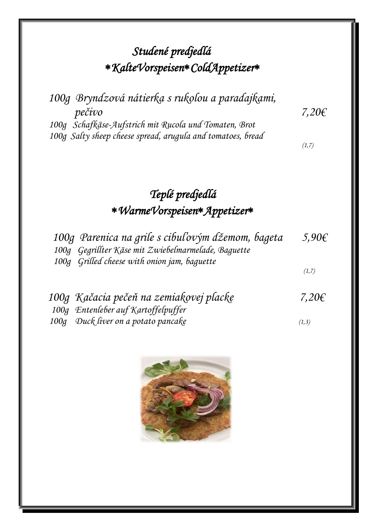# *Studené predjedlá KalteVorspeisenColdAppetizer*

| 100g Bryndzová nátierka s rukolou a paradajkami,            |            |
|-------------------------------------------------------------|------------|
| pečivo                                                      | 7,20 $\xi$ |
| 100g Schafkäse-Aufstrich mit Rucola und Tomaten, Brot       |            |
| 100g Salty sheep cheese spread, arugula and tomatoes, bread |            |

 $(1,7)$ 

# *Teplé predjedlá WarmeVorspeisenAppetizer*

| 100g Parenica na grile s cibuľovým džemom, bageta   | 5,90 $\xi$ |
|-----------------------------------------------------|------------|
| 100g Gegrillter Käse mit Zwiebelmarmelade, Baguette |            |
| 100g Grilled cheese with onion jam, baguette        |            |
|                                                     | (1,7)      |

| 100g Kačacia pečeň na zemiakovej placke | 7,20 $\epsilon$ |
|-----------------------------------------|-----------------|
| 100g Entenleber auf Kartoffelpuffer     |                 |
| 100g Duck liver on a potato pancake     | (1,3)           |

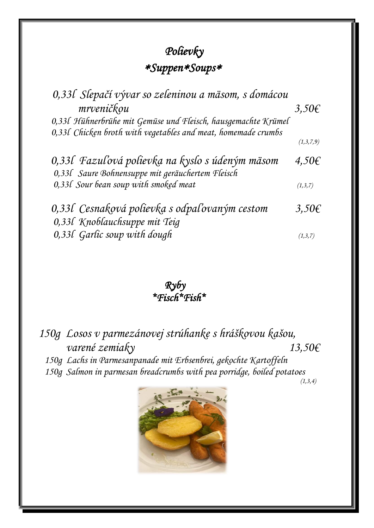## *Polievky SuppenSoups*

| 0,331 Slepačí vývar so zeleninou a mäsom, s domácou           |            |
|---------------------------------------------------------------|------------|
| mrveničkou                                                    | $3,50 \in$ |
| 0,33l Hühnerbrühe mit Gemüse und Fleisch, hausgemachte Krümel |            |
| 0,33l Chicken broth with vegetables and meat, homemade crumbs |            |
|                                                               | (1,3,7,9)  |
| 0,331 Fazuľová polievka na kyslo s údeným mäsom               | $4,50 \in$ |
| 0,33l Saure Bohnensuppe mit geräuchertem Fleisch              |            |
| 0,33l Sour bean soup with smoked meat                         | (1,3,7)    |
| 0,331 Cesnaková polievka s odpaľovaným cestom                 | $3,50 \in$ |
| 0,331 Knoblauchsuppe mit Teig                                 |            |
| 0,33l Garlic soup with dough                                  | (1,3,7)    |

 *Ryby \*Fisch\*Fish\** 

*150g Losos v parmezánovej strúhanke s hráškovou kašou, varené zemiaky 13,50€ 150g Lachs in Parmesanpanade mit Erbsenbrei, gekochte Kartoffeln 150g Salmon in parmesan breadcrumbs with pea porridge, boiled potatoes*

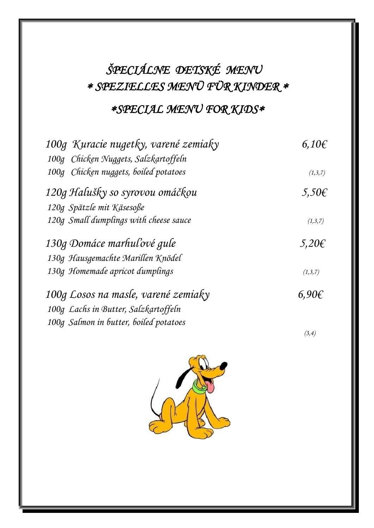# *ŠPECIÁLNE DETSKÉ MENU SPEZIELLES MENÜ FÜR KINDER*

#### *SPECIAL MENU FOR KIDS*

| 100g Kuracie nugetky, varené zemiaky   | $6.10 \epsilon$ |
|----------------------------------------|-----------------|
| 100g Chicken Nuggets, Salzkartoffeln   |                 |
| 100g Chicken nuggets, boiled potatoes  | (1,3,7)         |
| 120g Halušky so syrovou omáčkou        | $5,50 \in$      |
| 120g Spätzle mit Käsesoße              |                 |
| 120g Small dumplings with cheese sauce | (1,3,7)         |
| 130g Domáce marhuľové gule             | $5,20 \in$      |
| 130g Hausgemachte Marillen Knödel      |                 |
| 130g Homemade apricot dumplings        | (1,3,7)         |
| 100g Losos na masle, varené zemiaky    | $6.90\epsilon$  |
| 100g Lachs in Butter, Salzkartoffeln   |                 |
| 100g Salmon in butter, boiled potatoes |                 |
|                                        | (3,4)           |

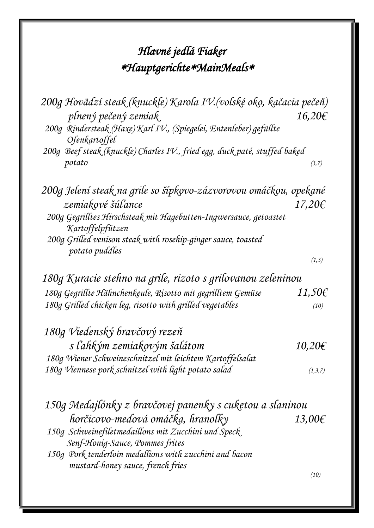# *Hlavné jedlá Fiaker HauptgerichteMainMeals*

| 200g Hovädzí steak (knuckle) Karola IV. (volské oko, kačacia pečeň)<br>plnený pečený zemiak | 16,20€      |
|---------------------------------------------------------------------------------------------|-------------|
| 200g Rindersteak (Haxe) Karl IV., (Spiegelei, Entenleber) gefüllte<br>Ofenkartoffel         |             |
| 200g Beef steak (knuckle) Charles IV., fried egg, duck paté, stuffed baked                  |             |
| potato                                                                                      | (3,7)       |
| 200g Jelení steak na grile so šípkovo-zázvorovou omáčkou, opekané                           |             |
| zemiakové šúľance                                                                           | $17,20 \in$ |
| 200g Gegrilltes Hirschsteak mit Hagebutten-Ingwersauce, getoastet<br>Kartoffelpfützen       |             |
| 200g Grilled venison steak with rosehip-ginger sauce, toasted<br>potato puddles             |             |
|                                                                                             | (1,3)       |
| 180g Kuracie stehno na grile, rizoto s grilovanou zeleninou                                 |             |
| 180g Gegrillte Hähnchenkeule, Risotto mit gegrilltem Gemüse                                 | 11,50€      |
| 180g Grilled chicken leg, risotto with grilled vegetables                                   | (10)        |
| 180g Viedenský bravčový rezeň                                                               |             |
| s ľahkým zemiakovým šalátom                                                                 | 10,20€      |
| 180g Wiener Schweineschnitzel mit leichtem Kartoffelsalat                                   |             |
| 180g Viennese pork schnitzel with light potato salad                                        | (1,3,7)     |
| 150g Medajlónky z bravčovej panenky s cukętou a slaninou                                    |             |
| horčicovo-medová omáčka, hranolky                                                           | 13,00€      |
| 150g Schweinefiletmedaillons mit Zucchini und Speck                                         |             |
| Senf-Honig-Sauce, Pommes frites                                                             |             |
| 150g Pork tenderloin medallions with zucchini and bacon                                     |             |
| mustard-honey sauce, french fries                                                           |             |

 *(10)*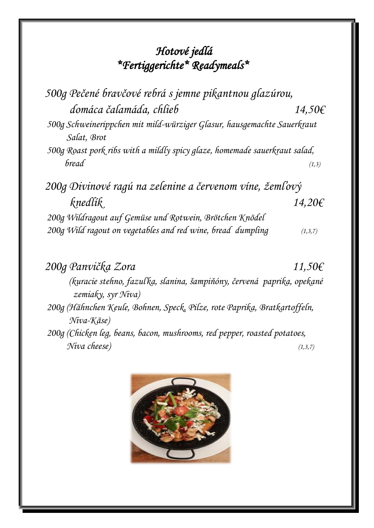#### *Hotové jedlá \*Fertiggerichte\* Readymeals\**

| 500g Pečené bravčové rebrá s jemne pikantnou glazúrou,                                 |         |
|----------------------------------------------------------------------------------------|---------|
| domáca čalamáda, chlieb                                                                | 14,50€  |
| 500g Schweinerippchen mit mild-würziger Glasur, hausgemachte Sauerkraut<br>Salat, Brot |         |
| 500g Roast pork ribs with a mildly spicy glaze, homemade sauerkraut salad,             |         |
| bread                                                                                  | (1,3)   |
| 200g Divinové ragú na zelenine a červenom víne, žemľový                                |         |
| knedlík                                                                                | 14,20€  |
| 200g Wildragout auf Gemüse und Rotwein, Brötchen Knödel                                |         |
| 200g Wild ragout on vegetables and red wine, bread dumpling                            | (1,3,7) |

*200g Panvička Zora 11,50€ (kuracie stehno, fazuľka, slanina, šampiňóny, červená paprika, opekané zemiaky, syr Niva) 200g (Hähnchen Keule, Bohnen, Speck, Pilze, rote Paprika, Bratkartoffeln, Niva-Käse) 200g (Chicken leg, beans, bacon, mushrooms, red pepper, roasted potatoes, Niva cheese) (1,3,7)*

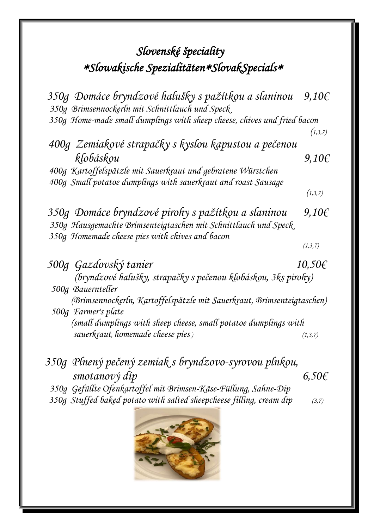### *Slovenské špeciality Slowakische SpezialitätenSlovakSpecials*

 *350g Domáce bryndzové halušky s pažítkou a slaninou 9,10€ 350g Brimsennockerln mit Schnittlauch und Speck 350g Home-made small dumplings with sheep cheese, chives und fried bacon (1,3,7) 400g Zemiakové strapačky s kyslou kapustou a pečenou klobáskou 9,10€ 400g Kartoffelspätzle mit Sauerkraut und gebratene Würstchen 400g Small potatoe dumplings with sauerkraut and roast Sausage (1,3,7) 350g Domáce bryndzové pirohy s pažítkou a slaninou 9,10€ 350g Hausgemachte Brimsenteigtaschen mit Schnittlauch und Speck 350g Homemade cheese pies with chives and bacon (1,3,7) 500g Gazdovský tanier 10,50€ (bryndzové halušky, strapačky s pečenou klobáskou, 3ks pirohy) 500g Bauernteller (Brimsennockerln, Kartoffelspätzle mit Sauerkraut, Brimsenteigtaschen) 500g Farmer's plate (small dumplings with sheep cheese, small potatoe dumplings with sauerkraut, homemade cheese pies ) (1,3,7)*

- *350g Plnený pečený zemiak s bryndzovo-syrovou plnkou, smotanový díp 6,50€ 350g Gefüllte Ofenkartoffel mit Brimsen-Käse-Füllung, Sahne-Dip*
- *350g Stuffed baked potato with salted sheepcheese filling, cream dip (3,7)*

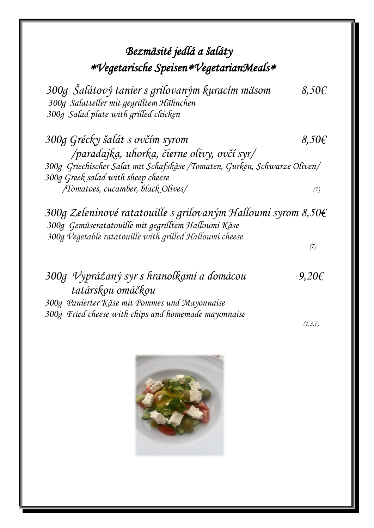#### *Bezmäsité jedlá a šaláty Vegetarische SpeisenVegetarianMeals*

 *300g Šalátový tanier s grilovaným kuracím mäsom 8,50€ 300g Salatteller mit gegrilltem Hähnchen 300g Salad plate with grilled chicken*

*300g Grécky šalát s ovčím syrom 8,50€ /paradajka, uhorka, čierne olivy, ovčí syr/ 300g Griechischer Salat mit Schafskäse /Tomaten, Gurken, Schwarze Oliven/ 300g Greek salad with sheep cheese /Tomatoes, cucamber, black Olives/ (7)*

*300g Zeleninové ratatouille s grilovaným Halloumi syrom 8,50€ 300g Gemüseratatouille mit gegrilltem Halloumi Käse 300g Vegetable ratatouille with grilled Halloumi cheese (7)*

*300g Vyprážaný syr s hranolkami a domácou 9,20€ tatárskou omáčkou 300g Panierter Käse mit Pommes und Mayonnaise 300g Fried cheese with chips and homemade mayonnaise* 

 *(1,3,7)* 

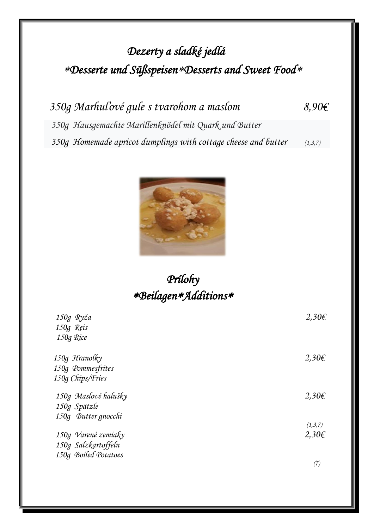# *Dezerty a sladké jedlá Desserte und SüßspeisenDesserts and Sweet Food*

 *350g Marhuľové gule s tvarohom a maslom 8,90€ 350g Hausgemachte Marillenknödel mit Quark und Butter 350g Homemade apricot dumplings with cottage cheese and butter (1,3,7)*



### *Prílohy BeilagenAdditions*

| 150g Ryža         |                      | $2,30 \in$ |
|-------------------|----------------------|------------|
| 150g Reis         |                      |            |
| 150g Rice         |                      |            |
| 150g Hranolky     |                      | $2,30 \in$ |
| 150g Pommesfrites |                      |            |
| 150g Chips/Fries  |                      |            |
|                   | 150g Maslové halušky | $2,30 \in$ |
| 150g Spätzle      |                      |            |
|                   | 150g Butter gnocchi  |            |
|                   |                      | (1,3,7)    |
|                   | 150g Varené zemiaky  | $2,30 \in$ |
|                   | 150g Salzkartoffeln  |            |
|                   | 150g Boiled Potatoes |            |
|                   |                      | 7.         |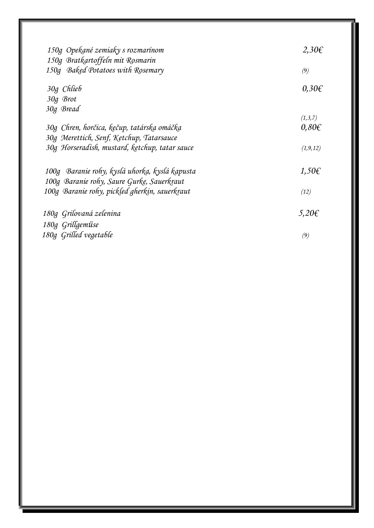| 150g Opekané zemiaky s rozmarínom<br>150g Bratkartoffeln mit Rosmarin | 2,30€           |
|-----------------------------------------------------------------------|-----------------|
| 150g Baked Potatoes with Rosemary                                     | (9)             |
| 30g Chlieb                                                            | $0,30 \in$      |
| 30g Brot                                                              |                 |
| 30g Bread                                                             |                 |
|                                                                       | (1,3,7)         |
| 30g Chren, horčica, kęčup, tatárska omáčka                            | $0,80 \in$      |
| 30g Merettich, Senf, Ketchup, Tatarsauce                              |                 |
| 30g Horseradish, mustard, ketchup, tatar sauce                        | (1, 9, 12)      |
| 100g Baranie rohy, kyslá uhorka, kyslá kapusta                        | 1,50 $\epsilon$ |
| 100g Baranie rohy, Saure Gurke, Sauerkraut                            |                 |
| 100g Baranie rohy, pickled gherkin, sauerkraut                        | (12)            |
| 180g Grilovaná zelenina                                               | $5,20 \in$      |
| 180g Grillgemüse                                                      |                 |
| 180g Grilled vegetable                                                | (9)             |
|                                                                       |                 |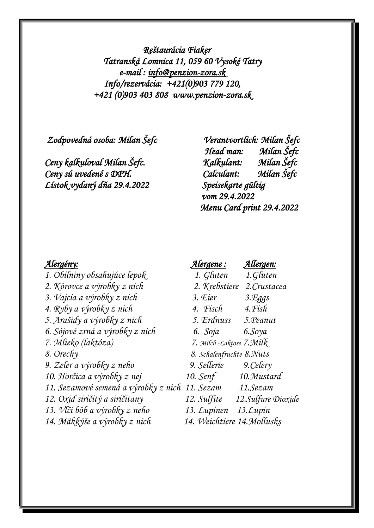*Reštaurácia Fiaker Tatranská Lomnica 11, 059 60 Vysoké Tatry e-mail : [info@penzion-zora.sk](mailto:info@penzion-zora.sk)  Info/rezervácia: +421(0)903 779 120, +421 (0)903 403 808 [www.penzion-zora.sk](http://www.penzion-zora.sk/)* 

 *Zodpovedná osoba: Milan Šefc Verantvortlich: Milan Šefc* 

*Ceny sú uvedené s DPH. Calculant: Milan Šefc Lístok vydaný dňa 29.4.2022 Speisekarte gültig* 

 *Head man: Milan Šefc Ceny kalkuloval Milan Šefc. Kalkulant: Milan Šefc vom 29.4.2022 Menu Card print 29.4.2022* 

*2. Kôrovce a výrobky z nich 2. Krebstiere 2.Crustacea 3. Vajcia a výrobky z nich 3. Eier 3.Eggs 4. Ryby a výrobky z nich 4. Fisch 4.Fish 5. Arašidy a výrobky z nich 5. Erdnuss 5.Peanut 6. Sójové zrná a výrobky z nich 6. Soja 6.Soya 7. Mlieko (laktóza) 7. Milch -Laktose 7.Milk 8. Orechy 8. Schalenfruchte 8.Nuts 9. Zeler a výrobky z neho 9. Sellerie 9.Celery 10. Horčica a výrobky z nej 10. Senf 10.Mustard 11. Sezamové semená a výrobky z nich 11. Sezam 11.Sezam 12. Oxid siričitý a siričitany 12. Sulfite 12.Sulfure Dioxide 13. Vlčí bôb a výrobky z neho 13. Lupinen 13.Lupin 14. Mäkkýše a výrobky z nich 14. Weichtiere 14.Mollusks*

# *Alergény: Alergene : Allergen: 1. Obilniny obsahujúce lepok 1. Gluten 1.Gluten*